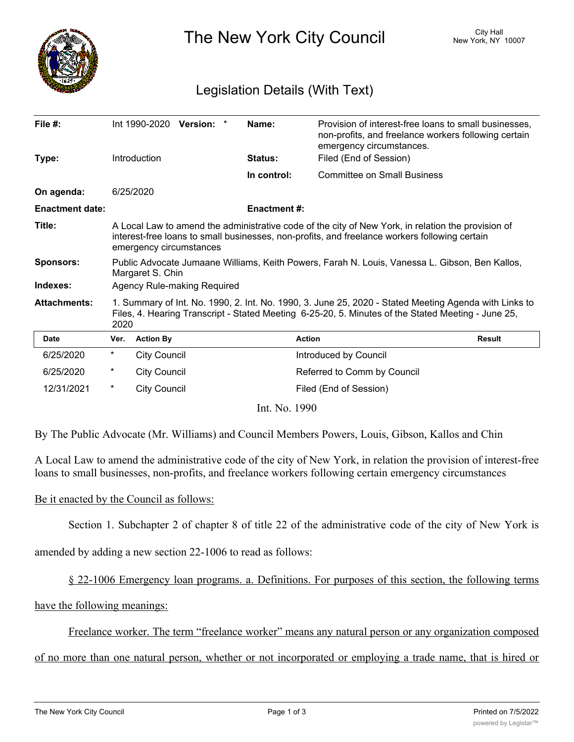

The New York City Council New York, NY 10007

## Legislation Details (With Text)

| File $#$ :             |                                                                                                                                                                                                                                | Int 1990-2020 Version: * |  |  | Name:               | Provision of interest-free loans to small businesses,<br>non-profits, and freelance workers following certain<br>emergency circumstances. |               |
|------------------------|--------------------------------------------------------------------------------------------------------------------------------------------------------------------------------------------------------------------------------|--------------------------|--|--|---------------------|-------------------------------------------------------------------------------------------------------------------------------------------|---------------|
| Type:                  |                                                                                                                                                                                                                                | Introduction             |  |  | <b>Status:</b>      | Filed (End of Session)                                                                                                                    |               |
|                        |                                                                                                                                                                                                                                |                          |  |  | In control:         | <b>Committee on Small Business</b>                                                                                                        |               |
| On agenda:             |                                                                                                                                                                                                                                | 6/25/2020                |  |  |                     |                                                                                                                                           |               |
| <b>Enactment date:</b> |                                                                                                                                                                                                                                |                          |  |  | <b>Enactment #:</b> |                                                                                                                                           |               |
| Title:                 | A Local Law to amend the administrative code of the city of New York, in relation the provision of<br>interest-free loans to small businesses, non-profits, and freelance workers following certain<br>emergency circumstances |                          |  |  |                     |                                                                                                                                           |               |
| <b>Sponsors:</b>       | Public Advocate Jumaane Williams, Keith Powers, Farah N. Louis, Vanessa L. Gibson, Ben Kallos,<br>Margaret S. Chin                                                                                                             |                          |  |  |                     |                                                                                                                                           |               |
| Indexes:               | Agency Rule-making Required                                                                                                                                                                                                    |                          |  |  |                     |                                                                                                                                           |               |
| <b>Attachments:</b>    | 1. Summary of Int. No. 1990, 2. Int. No. 1990, 3. June 25, 2020 - Stated Meeting Agenda with Links to<br>Files, 4. Hearing Transcript - Stated Meeting 6-25-20, 5. Minutes of the Stated Meeting - June 25,<br>2020            |                          |  |  |                     |                                                                                                                                           |               |
| <b>Date</b>            | Ver.                                                                                                                                                                                                                           | <b>Action By</b>         |  |  |                     | <b>Action</b>                                                                                                                             | <b>Result</b> |
| 6/25/2020              | $^\star$                                                                                                                                                                                                                       | <b>City Council</b>      |  |  |                     | Introduced by Council                                                                                                                     |               |
| 6/25/2020              | $^\star$                                                                                                                                                                                                                       | <b>City Council</b>      |  |  |                     | Referred to Comm by Council                                                                                                               |               |
| 12/31/2021             | $^\star$                                                                                                                                                                                                                       | <b>City Council</b>      |  |  |                     | Filed (End of Session)                                                                                                                    |               |
| Int. No. 1990          |                                                                                                                                                                                                                                |                          |  |  |                     |                                                                                                                                           |               |

By The Public Advocate (Mr. Williams) and Council Members Powers, Louis, Gibson, Kallos and Chin

A Local Law to amend the administrative code of the city of New York, in relation the provision of interest-free loans to small businesses, non-profits, and freelance workers following certain emergency circumstances

## Be it enacted by the Council as follows:

Section 1. Subchapter 2 of chapter 8 of title 22 of the administrative code of the city of New York is

amended by adding a new section 22-1006 to read as follows:

§ 22-1006 Emergency loan programs. a. Definitions. For purposes of this section, the following terms

have the following meanings:

Freelance worker. The term "freelance worker" means any natural person or any organization composed

## of no more than one natural person, whether or not incorporated or employing a trade name, that is hired or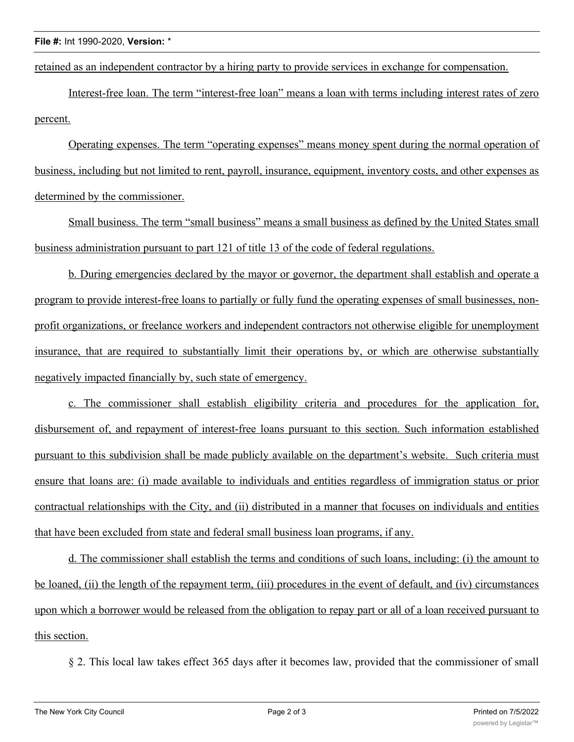retained as an independent contractor by a hiring party to provide services in exchange for compensation.

Interest-free loan. The term "interest-free loan" means a loan with terms including interest rates of zero percent.

Operating expenses. The term "operating expenses" means money spent during the normal operation of business, including but not limited to rent, payroll, insurance, equipment, inventory costs, and other expenses as determined by the commissioner.

Small business. The term "small business" means a small business as defined by the United States small business administration pursuant to part 121 of title 13 of the code of federal regulations.

b. During emergencies declared by the mayor or governor, the department shall establish and operate a program to provide interest-free loans to partially or fully fund the operating expenses of small businesses, nonprofit organizations, or freelance workers and independent contractors not otherwise eligible for unemployment insurance, that are required to substantially limit their operations by, or which are otherwise substantially negatively impacted financially by, such state of emergency.

c. The commissioner shall establish eligibility criteria and procedures for the application for, disbursement of, and repayment of interest-free loans pursuant to this section. Such information established pursuant to this subdivision shall be made publicly available on the department's website. Such criteria must ensure that loans are: (i) made available to individuals and entities regardless of immigration status or prior contractual relationships with the City, and (ii) distributed in a manner that focuses on individuals and entities that have been excluded from state and federal small business loan programs, if any.

d. The commissioner shall establish the terms and conditions of such loans, including: (i) the amount to be loaned, (ii) the length of the repayment term, (iii) procedures in the event of default, and (iv) circumstances upon which a borrower would be released from the obligation to repay part or all of a loan received pursuant to this section.

§ 2. This local law takes effect 365 days after it becomes law, provided that the commissioner of small